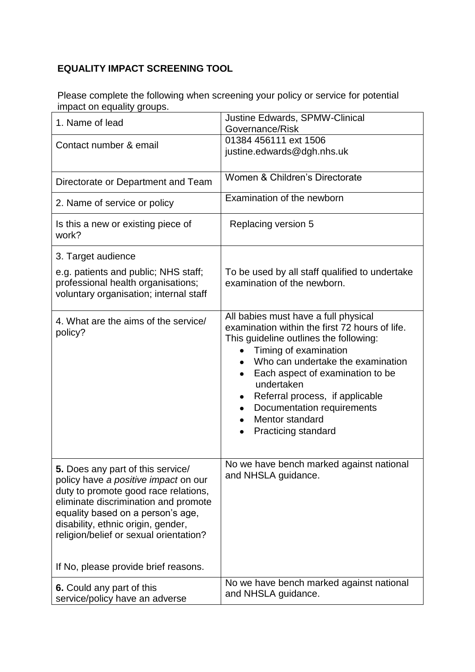## **EQUALITY IMPACT SCREENING TOOL**

Please complete the following when screening your policy or service for potential impact on equality groups.

| 1. Name of lead                                                                                                                                                                                                                                                                                                        | Justine Edwards, SPMW-Clinical<br>Governance/Risk                                                                                                                                                                                                                                                                                                                                    |
|------------------------------------------------------------------------------------------------------------------------------------------------------------------------------------------------------------------------------------------------------------------------------------------------------------------------|--------------------------------------------------------------------------------------------------------------------------------------------------------------------------------------------------------------------------------------------------------------------------------------------------------------------------------------------------------------------------------------|
| Contact number & email                                                                                                                                                                                                                                                                                                 | 01384 456111 ext 1506<br>justine.edwards@dgh.nhs.uk                                                                                                                                                                                                                                                                                                                                  |
| Directorate or Department and Team                                                                                                                                                                                                                                                                                     | Women & Children's Directorate                                                                                                                                                                                                                                                                                                                                                       |
| 2. Name of service or policy                                                                                                                                                                                                                                                                                           | Examination of the newborn                                                                                                                                                                                                                                                                                                                                                           |
| Is this a new or existing piece of<br>work?                                                                                                                                                                                                                                                                            | Replacing version 5                                                                                                                                                                                                                                                                                                                                                                  |
| 3. Target audience                                                                                                                                                                                                                                                                                                     |                                                                                                                                                                                                                                                                                                                                                                                      |
| e.g. patients and public; NHS staff;<br>professional health organisations;<br>voluntary organisation; internal staff                                                                                                                                                                                                   | To be used by all staff qualified to undertake<br>examination of the newborn.                                                                                                                                                                                                                                                                                                        |
| 4. What are the aims of the service/<br>policy?                                                                                                                                                                                                                                                                        | All babies must have a full physical<br>examination within the first 72 hours of life.<br>This guideline outlines the following:<br>Timing of examination<br>Who can undertake the examination<br>Each aspect of examination to be<br>undertaken<br>Referral process, if applicable<br>Documentation requirements<br>Mentor standard<br>$\bullet$<br><b>Practicing standard</b><br>٠ |
| 5. Does any part of this service/<br>policy have a positive impact on our<br>duty to promote good race relations,<br>eliminate discrimination and promote<br>equality based on a person's age,<br>disability, ethnic origin, gender,<br>religion/belief or sexual orientation?<br>If No, please provide brief reasons. | No we have bench marked against national<br>and NHSLA guidance.                                                                                                                                                                                                                                                                                                                      |
| 6. Could any part of this                                                                                                                                                                                                                                                                                              | No we have bench marked against national                                                                                                                                                                                                                                                                                                                                             |
| service/policy have an adverse                                                                                                                                                                                                                                                                                         | and NHSLA guidance.                                                                                                                                                                                                                                                                                                                                                                  |